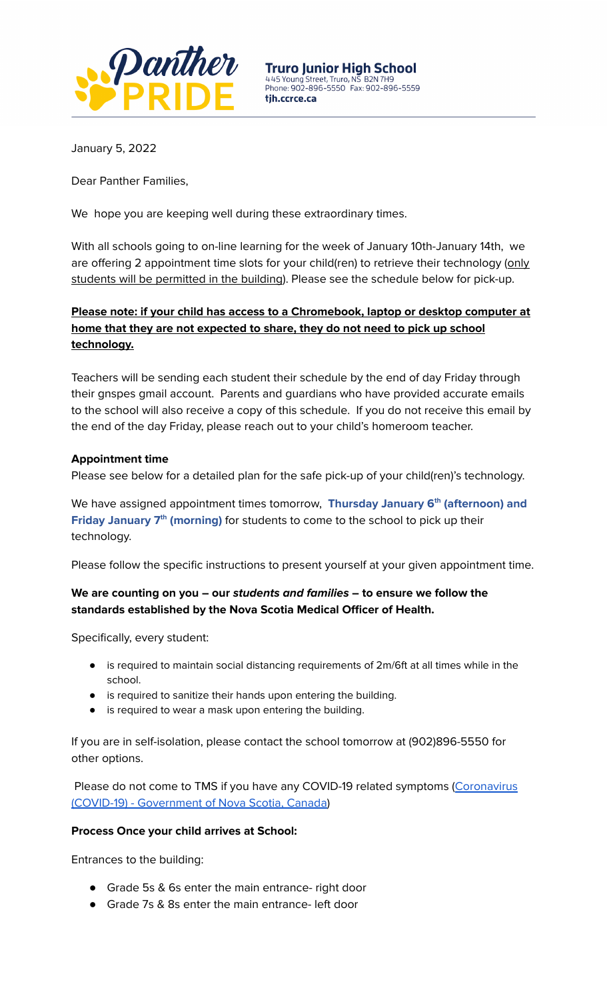

**Truro Junior High School** 445 Young Street, Truro, NS B2N 7H9<br>Phone: 902-896-5550 Fax: 902-896-5559 tih.ccrce.ca

January 5, 2022

Dear Panther Families,

We hope you are keeping well during these extraordinary times.

With all schools going to on-line learning for the week of January 10th-January 14th, we are offering 2 appointment time slots for your child(ren) to retrieve their technology (only students will be permitted in the building). Please see the schedule below for pick-up.

# **Please note: if your child has access to a Chromebook, laptop or desktop computer at home that they are not expected to share, they do not need to pick up school technology.**

Teachers will be sending each student their schedule by the end of day Friday through their gnspes gmail account. Parents and guardians who have provided accurate emails to the school will also receive a copy of this schedule. If you do not receive this email by the end of the day Friday, please reach out to your child's homeroom teacher.

### **Appointment time**

Please see below for a detailed plan for the safe pick-up of your child(ren)'s technology.

We have assigned appointment times tomorrow, **Thursday January 6 th (afternoon) and** Friday January 7<sup>th</sup> (morning) for students to come to the school to pick up their technology.

Please follow the specific instructions to present yourself at your given appointment time.

## **We are counting on you – our students and families – to ensure we follow the standards established by the Nova Scotia Medical Officer of Health.**

Specifically, every student:

- is required to maintain social distancing requirements of 2m/6ft at all times while in the school.
- is required to sanitize their hands upon entering the building.
- is required to wear a mask upon entering the building.

If you are in self-isolation, please contact the school tomorrow at (902)896-5550 for other options.

Please do not come to TMS if you have any COVID-19 related symptoms ([Coronavirus](http://novascotia.ca/coronavirus) (COVID-19) - [Government](http://novascotia.ca/coronavirus) of Nova Scotia, Canada)

#### **Process Once your child arrives at School:**

Entrances to the building:

- Grade 5s & 6s enter the main entrance- right door
- Grade 7s & 8s enter the main entrance- left door